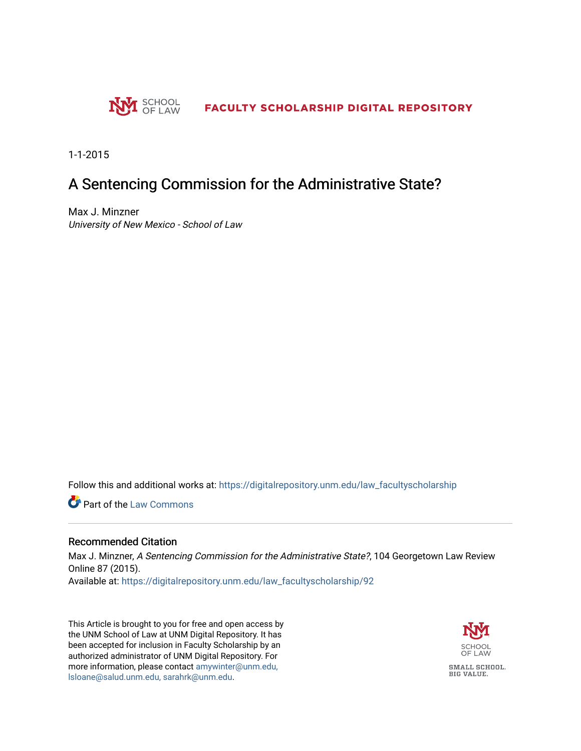

1-1-2015

# A Sentencing Commission for the Administrative State?

Max J. Minzner University of New Mexico - School of Law

Follow this and additional works at: [https://digitalrepository.unm.edu/law\\_facultyscholarship](https://digitalrepository.unm.edu/law_facultyscholarship?utm_source=digitalrepository.unm.edu%2Flaw_facultyscholarship%2F92&utm_medium=PDF&utm_campaign=PDFCoverPages) 

Part of the [Law Commons](http://network.bepress.com/hgg/discipline/578?utm_source=digitalrepository.unm.edu%2Flaw_facultyscholarship%2F92&utm_medium=PDF&utm_campaign=PDFCoverPages)

# Recommended Citation

Max J. Minzner, A Sentencing Commission for the Administrative State?, 104 Georgetown Law Review Online 87 (2015).

Available at: [https://digitalrepository.unm.edu/law\\_facultyscholarship/92](https://digitalrepository.unm.edu/law_facultyscholarship/92?utm_source=digitalrepository.unm.edu%2Flaw_facultyscholarship%2F92&utm_medium=PDF&utm_campaign=PDFCoverPages)

This Article is brought to you for free and open access by the UNM School of Law at UNM Digital Repository. It has been accepted for inclusion in Faculty Scholarship by an authorized administrator of UNM Digital Repository. For more information, please contact [amywinter@unm.edu,](mailto:amywinter@unm.edu,%20lsloane@salud.unm.edu,%20sarahrk@unm.edu)  [lsloane@salud.unm.edu, sarahrk@unm.edu.](mailto:amywinter@unm.edu,%20lsloane@salud.unm.edu,%20sarahrk@unm.edu)

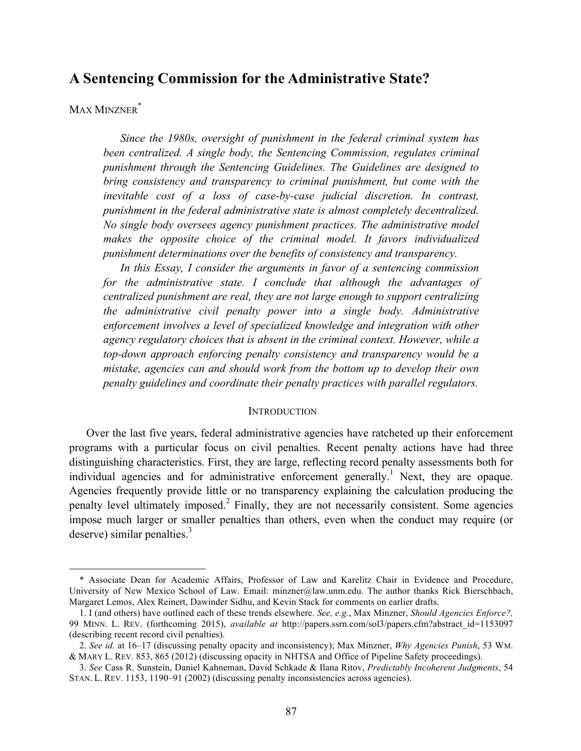# **A Sentencing Commission for the Administrative State?**

# MAX MINZNER<sup>\*</sup>

 

*Since the 1980s, oversight of punishment in the federal criminal system has been centralized. A single body, the Sentencing Commission, regulates criminal punishment through the Sentencing Guidelines. The Guidelines are designed to bring consistency and transparency to criminal punishment, but come with the inevitable cost of a loss of case-by-case judicial discretion. In contrast, punishment in the federal administrative state is almost completely decentralized. No single body oversees agency punishment practices. The administrative model makes the opposite choice of the criminal model. It favors individualized punishment determinations over the benefits of consistency and transparency.*

*In this Essay, I consider the arguments in favor of a sentencing commission for the administrative state. I conclude that although the advantages of centralized punishment are real, they are not large enough to support centralizing the administrative civil penalty power into a single body. Administrative enforcement involves a level of specialized knowledge and integration with other agency regulatory choices that is absent in the criminal context. However, while a top-down approach enforcing penalty consistency and transparency would be a mistake, agencies can and should work from the bottom up to develop their own penalty guidelines and coordinate their penalty practices with parallel regulators.*

#### **INTRODUCTION**

Over the last five years, federal administrative agencies have ratcheted up their enforcement programs with a particular focus on civil penalties. Recent penalty actions have had three distinguishing characteristics. First, they are large, reflecting record penalty assessments both for individual agencies and for administrative enforcement generally.<sup>1</sup> Next, they are opaque. Agencies frequently provide little or no transparency explaining the calculation producing the penalty level ultimately imposed.<sup>2</sup> Finally, they are not necessarily consistent. Some agencies impose much larger or smaller penalties than others, even when the conduct may require (or deserve) similar penalties. $3$ 

<sup>\*</sup> Associate Dean for Academic Affairs, Professor of Law and Karelitz Chair in Evidence and Procedure, University of New Mexico School of Law. Email: minzner@law.unm.edu. The author thanks Rick Bierschbach, Margaret Lemos, Alex Reinert, Dawinder Sidhu, and Kevin Stack for comments on earlier drafts.

<sup>1.</sup> I (and others) have outlined each of these trends elsewhere. *See, e.g.*, Max Minzner, *Should Agencies Enforce?,*  99 MINN. L. REV. (forthcoming 2015), *available at* http://papers.ssrn.com/sol3/papers.cfm?abstract\_id=1153097 (describing recent record civil penalties).

<sup>2.</sup> *See id.* at 16–17 (discussing penalty opacity and inconsistency); Max Minzner, *Why Agencies Punish*, 53 WM. & MARY L. REV. 853, 865 (2012) (discussing opacity in NHTSA and Office of Pipeline Safety proceedings).

<sup>3.</sup> *See* Cass R. Sunstein, Daniel Kahneman, David Schkade & Ilana Ritov, *Predictably Incoherent Judgments*, 54 STAN. L. REV. 1153, 1190–91 (2002) (discussing penalty inconsistencies across agencies).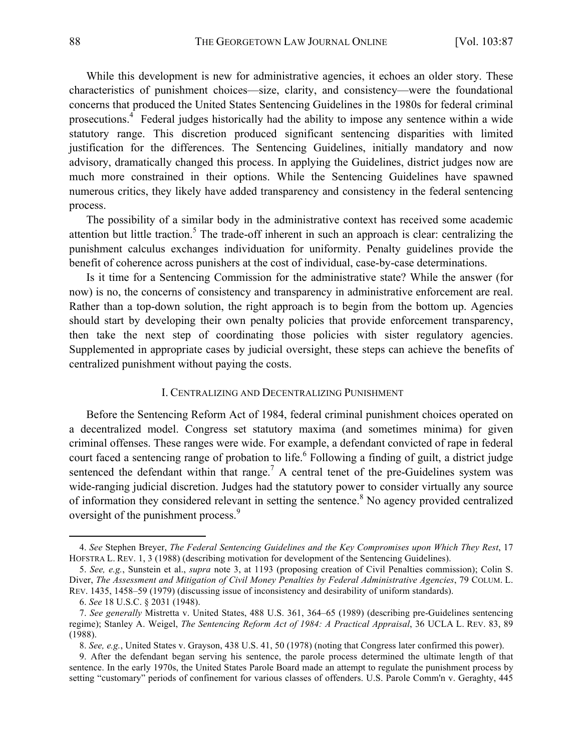While this development is new for administrative agencies, it echoes an older story. These characteristics of punishment choices—size, clarity, and consistency—were the foundational concerns that produced the United States Sentencing Guidelines in the 1980s for federal criminal prosecutions.4 Federal judges historically had the ability to impose any sentence within a wide statutory range. This discretion produced significant sentencing disparities with limited justification for the differences. The Sentencing Guidelines, initially mandatory and now advisory, dramatically changed this process. In applying the Guidelines, district judges now are much more constrained in their options. While the Sentencing Guidelines have spawned numerous critics, they likely have added transparency and consistency in the federal sentencing process.

The possibility of a similar body in the administrative context has received some academic attention but little traction.<sup>5</sup> The trade-off inherent in such an approach is clear: centralizing the punishment calculus exchanges individuation for uniformity. Penalty guidelines provide the benefit of coherence across punishers at the cost of individual, case-by-case determinations.

Is it time for a Sentencing Commission for the administrative state? While the answer (for now) is no, the concerns of consistency and transparency in administrative enforcement are real. Rather than a top-down solution, the right approach is to begin from the bottom up. Agencies should start by developing their own penalty policies that provide enforcement transparency, then take the next step of coordinating those policies with sister regulatory agencies. Supplemented in appropriate cases by judicial oversight, these steps can achieve the benefits of centralized punishment without paying the costs.

#### I. CENTRALIZING AND DECENTRALIZING PUNISHMENT

Before the Sentencing Reform Act of 1984, federal criminal punishment choices operated on a decentralized model. Congress set statutory maxima (and sometimes minima) for given criminal offenses. These ranges were wide. For example, a defendant convicted of rape in federal court faced a sentencing range of probation to life. <sup>6</sup> Following a finding of guilt, a district judge sentenced the defendant within that range.<sup>7</sup> A central tenet of the pre-Guidelines system was wide-ranging judicial discretion. Judges had the statutory power to consider virtually any source of information they considered relevant in setting the sentence.<sup>8</sup> No agency provided centralized oversight of the punishment process.<sup>9</sup>

 

<sup>4.</sup> *See* Stephen Breyer, *The Federal Sentencing Guidelines and the Key Compromises upon Which They Rest*, 17 HOFSTRA L. REV. 1, 3 (1988) (describing motivation for development of the Sentencing Guidelines).

<sup>5.</sup> *See, e.g.*, Sunstein et al., *supra* note 3, at 1193 (proposing creation of Civil Penalties commission); Colin S. Diver, *The Assessment and Mitigation of Civil Money Penalties by Federal Administrative Agencies*, 79 COLUM. L. REV. 1435, 1458–59 (1979) (discussing issue of inconsistency and desirability of uniform standards).

<sup>6.</sup> *See* 18 U.S.C. § 2031 (1948).

<sup>7.</sup> *See generally* Mistretta v. United States, 488 U.S. 361, 364–65 (1989) (describing pre-Guidelines sentencing regime); Stanley A. Weigel, *The Sentencing Reform Act of 1984: A Practical Appraisal*, 36 UCLA L. REV. 83, 89 (1988).

<sup>8.</sup> *See, e.g.*, United States v. Grayson, 438 U.S. 41, 50 (1978) (noting that Congress later confirmed this power).

<sup>9.</sup> After the defendant began serving his sentence, the parole process determined the ultimate length of that sentence. In the early 1970s, the United States Parole Board made an attempt to regulate the punishment process by setting "customary" periods of confinement for various classes of offenders. U.S. Parole Comm'n v. Geraghty, 445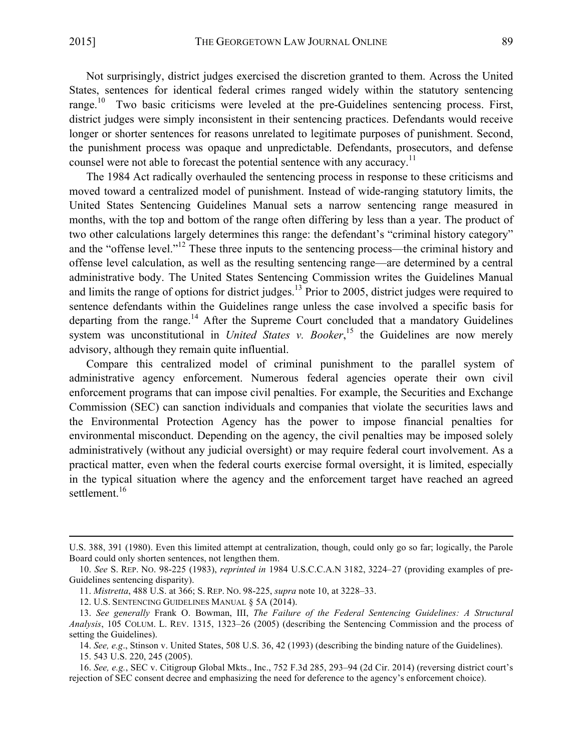Not surprisingly, district judges exercised the discretion granted to them. Across the United States, sentences for identical federal crimes ranged widely within the statutory sentencing range.<sup>10</sup> Two basic criticisms were leveled at the pre-Guidelines sentencing process. First, district judges were simply inconsistent in their sentencing practices. Defendants would receive longer or shorter sentences for reasons unrelated to legitimate purposes of punishment. Second, the punishment process was opaque and unpredictable. Defendants, prosecutors, and defense counsel were not able to forecast the potential sentence with any accuracy.<sup>11</sup>

The 1984 Act radically overhauled the sentencing process in response to these criticisms and moved toward a centralized model of punishment. Instead of wide-ranging statutory limits, the United States Sentencing Guidelines Manual sets a narrow sentencing range measured in months, with the top and bottom of the range often differing by less than a year. The product of two other calculations largely determines this range: the defendant's "criminal history category" and the "offense level."<sup>12</sup> These three inputs to the sentencing process—the criminal history and offense level calculation, as well as the resulting sentencing range—are determined by a central administrative body. The United States Sentencing Commission writes the Guidelines Manual and limits the range of options for district judges.13 Prior to 2005, district judges were required to sentence defendants within the Guidelines range unless the case involved a specific basis for departing from the range.<sup>14</sup> After the Supreme Court concluded that a mandatory Guidelines system was unconstitutional in *United States v. Booker*,<sup>15</sup> the Guidelines are now merely advisory, although they remain quite influential.

Compare this centralized model of criminal punishment to the parallel system of administrative agency enforcement. Numerous federal agencies operate their own civil enforcement programs that can impose civil penalties. For example, the Securities and Exchange Commission (SEC) can sanction individuals and companies that violate the securities laws and the Environmental Protection Agency has the power to impose financial penalties for environmental misconduct. Depending on the agency, the civil penalties may be imposed solely administratively (without any judicial oversight) or may require federal court involvement. As a practical matter, even when the federal courts exercise formal oversight, it is limited, especially in the typical situation where the agency and the enforcement target have reached an agreed settlement.<sup>16</sup>

<sup>&</sup>lt;u> 1989 - Jan Sarajević, politički predsjednik i politički politički politički politički politički politički po</u> U.S. 388, 391 (1980). Even this limited attempt at centralization, though, could only go so far; logically, the Parole Board could only shorten sentences, not lengthen them.

<sup>10.</sup> *See* S. REP. NO. 98-225 (1983), *reprinted in* 1984 U.S.C.C.A.N 3182, 3224–27 (providing examples of pre-Guidelines sentencing disparity).

<sup>11.</sup> *Mistretta*, 488 U.S. at 366; S. REP. NO. 98-225, *supra* note 10, at 3228–33.

<sup>12.</sup> U.S. SENTENCING GUIDELINES MANUAL § 5A (2014).

<sup>13.</sup> *See generally* Frank O. Bowman, III, *The Failure of the Federal Sentencing Guidelines: A Structural Analysis*, 105 COLUM. L. REV. 1315, 1323–26 (2005) (describing the Sentencing Commission and the process of setting the Guidelines).

<sup>14.</sup> *See, e.g*., Stinson v. United States, 508 U.S. 36, 42 (1993) (describing the binding nature of the Guidelines). 15. 543 U.S. 220, 245 (2005).

<sup>16.</sup> *See, e.g.*, SEC v. Citigroup Global Mkts., Inc., 752 F.3d 285, 293–94 (2d Cir. 2014) (reversing district court's rejection of SEC consent decree and emphasizing the need for deference to the agency's enforcement choice).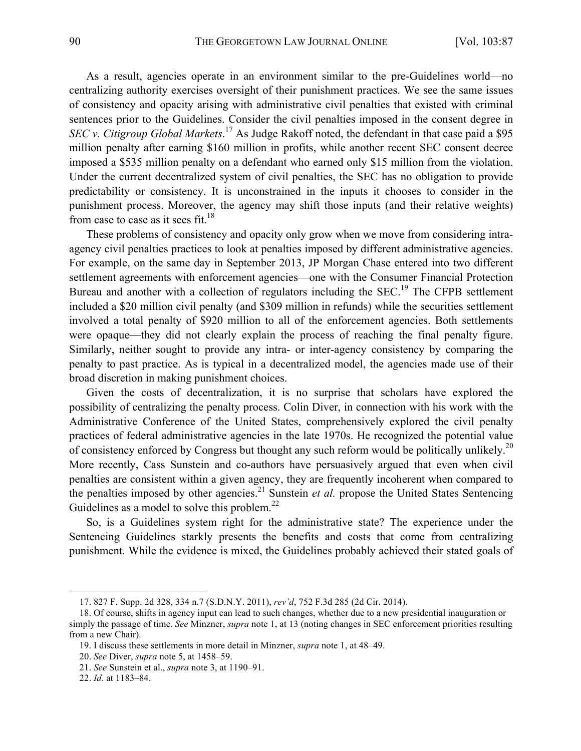As a result, agencies operate in an environment similar to the pre-Guidelines world—no centralizing authority exercises oversight of their punishment practices. We see the same issues of consistency and opacity arising with administrative civil penalties that existed with criminal sentences prior to the Guidelines. Consider the civil penalties imposed in the consent degree in *SEC v. Citigroup Global Markets*. <sup>17</sup> As Judge Rakoff noted, the defendant in that case paid a \$95 million penalty after earning \$160 million in profits, while another recent SEC consent decree imposed a \$535 million penalty on a defendant who earned only \$15 million from the violation. Under the current decentralized system of civil penalties, the SEC has no obligation to provide predictability or consistency. It is unconstrained in the inputs it chooses to consider in the punishment process. Moreover, the agency may shift those inputs (and their relative weights) from case to case as it sees  $fit.^{18}$ .

These problems of consistency and opacity only grow when we move from considering intraagency civil penalties practices to look at penalties imposed by different administrative agencies. For example, on the same day in September 2013, JP Morgan Chase entered into two different settlement agreements with enforcement agencies—one with the Consumer Financial Protection Bureau and another with a collection of regulators including the SEC.<sup>19</sup> The CFPB settlement included a \$20 million civil penalty (and \$309 million in refunds) while the securities settlement involved a total penalty of \$920 million to all of the enforcement agencies. Both settlements were opaque—they did not clearly explain the process of reaching the final penalty figure. Similarly, neither sought to provide any intra- or inter-agency consistency by comparing the penalty to past practice. As is typical in a decentralized model, the agencies made use of their broad discretion in making punishment choices.

Given the costs of decentralization, it is no surprise that scholars have explored the possibility of centralizing the penalty process. Colin Diver, in connection with his work with the Administrative Conference of the United States, comprehensively explored the civil penalty practices of federal administrative agencies in the late 1970s. He recognized the potential value of consistency enforced by Congress but thought any such reform would be politically unlikely.<sup>20</sup> More recently, Cass Sunstein and co-authors have persuasively argued that even when civil penalties are consistent within a given agency, they are frequently incoherent when compared to the penalties imposed by other agencies.<sup>21</sup> Sunstein *et al.* propose the United States Sentencing Guidelines as a model to solve this problem.<sup>22</sup>

So, is a Guidelines system right for the administrative state? The experience under the Sentencing Guidelines starkly presents the benefits and costs that come from centralizing punishment. While the evidence is mixed, the Guidelines probably achieved their stated goals of

 

<sup>17. 827</sup> F. Supp. 2d 328, 334 n.7 (S.D.N.Y. 2011), *rev'd*, 752 F.3d 285 (2d Cir. 2014).

<sup>18.</sup> Of course, shifts in agency input can lead to such changes, whether due to a new presidential inauguration or simply the passage of time. *See* Minzner, *supra* note 1, at 13 (noting changes in SEC enforcement priorities resulting from a new Chair).

<sup>19.</sup> I discuss these settlements in more detail in Minzner, *supra* note 1, at 48–49.

<sup>20.</sup> *See* Diver, *supra* note 5, at 1458–59.

<sup>21.</sup> *See* Sunstein et al., *supra* note 3, at 1190–91.

<sup>22.</sup> *Id.* at 1183–84.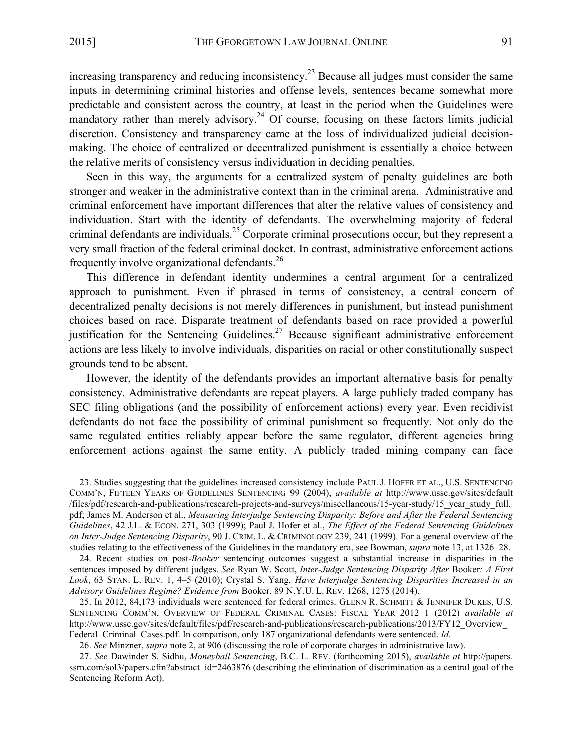increasing transparency and reducing inconsistency.<sup>23</sup> Because all judges must consider the same inputs in determining criminal histories and offense levels, sentences became somewhat more predictable and consistent across the country, at least in the period when the Guidelines were mandatory rather than merely advisory.<sup>24</sup> Of course, focusing on these factors limits judicial discretion. Consistency and transparency came at the loss of individualized judicial decisionmaking. The choice of centralized or decentralized punishment is essentially a choice between the relative merits of consistency versus individuation in deciding penalties.

Seen in this way, the arguments for a centralized system of penalty guidelines are both stronger and weaker in the administrative context than in the criminal arena. Administrative and criminal enforcement have important differences that alter the relative values of consistency and individuation. Start with the identity of defendants. The overwhelming majority of federal criminal defendants are individuals.<sup>25</sup> Corporate criminal prosecutions occur, but they represent a very small fraction of the federal criminal docket. In contrast, administrative enforcement actions frequently involve organizational defendants.26

This difference in defendant identity undermines a central argument for a centralized approach to punishment. Even if phrased in terms of consistency, a central concern of decentralized penalty decisions is not merely differences in punishment, but instead punishment choices based on race. Disparate treatment of defendants based on race provided a powerful justification for the Sentencing Guidelines.<sup>27</sup> Because significant administrative enforcement actions are less likely to involve individuals, disparities on racial or other constitutionally suspect grounds tend to be absent.

However, the identity of the defendants provides an important alternative basis for penalty consistency. Administrative defendants are repeat players. A large publicly traded company has SEC filing obligations (and the possibility of enforcement actions) every year. Even recidivist defendants do not face the possibility of criminal punishment so frequently. Not only do the same regulated entities reliably appear before the same regulator, different agencies bring enforcement actions against the same entity. A publicly traded mining company can face

<sup>23.</sup> Studies suggesting that the guidelines increased consistency include PAUL J. HOFER ET AL., U.S. SENTENCING COMM'N, FIFTEEN YEARS OF GUIDELINES SENTENCING 99 (2004), *available at* http://www.ussc.gov/sites/default /files/pdf/research-and-publications/research-projects-and-surveys/miscellaneous/15-year-study/15\_year\_study\_full. pdf; James M. Anderson et al., *Measuring Interjudge Sentencing Disparity: Before and After the Federal Sentencing Guidelines*, 42 J.L. & ECON. 271, 303 (1999); Paul J. Hofer et al., *The Effect of the Federal Sentencing Guidelines on Inter-Judge Sentencing Disparity*, 90 J. CRIM. L. & CRIMINOLOGY 239, 241 (1999). For a general overview of the studies relating to the effectiveness of the Guidelines in the mandatory era, see Bowman, *supra* note 13, at 1326–28.

<sup>24.</sup> Recent studies on post-*Booker* sentencing outcomes suggest a substantial increase in disparities in the sentences imposed by different judges. *See* Ryan W. Scott, *Inter-Judge Sentencing Disparity After* Booker*: A First Look*, 63 STAN. L. REV. 1, 4–5 (2010); Crystal S. Yang, *Have Interjudge Sentencing Disparities Increased in an Advisory Guidelines Regime? Evidence from* Booker, 89 N.Y.U. L. REV. 1268, 1275 (2014).

<sup>25.</sup> In 2012, 84,173 individuals were sentenced for federal crimes. GLENN R. SCHMITT & JENNIFER DUKES, U.S. SENTENCING COMM'N, OVERVIEW OF FEDERAL CRIMINAL CASES: FISCAL YEAR 2012 1 (2012) *available at* http://www.ussc.gov/sites/default/files/pdf/research-and-publications/research-publications/2013/FY12\_Overview\_ Federal\_Criminal\_Cases.pdf. In comparison, only 187 organizational defendants were sentenced. *Id.*

<sup>26.</sup> *See* Minzner, *supra* note 2, at 906 (discussing the role of corporate charges in administrative law).

<sup>27.</sup> *See* Dawinder S. Sidhu, *Moneyball Sentencing*, B.C. L. REV. (forthcoming 2015), *available at* http://papers. ssrn.com/sol3/papers.cfm?abstract\_id=2463876 (describing the elimination of discrimination as a central goal of the Sentencing Reform Act).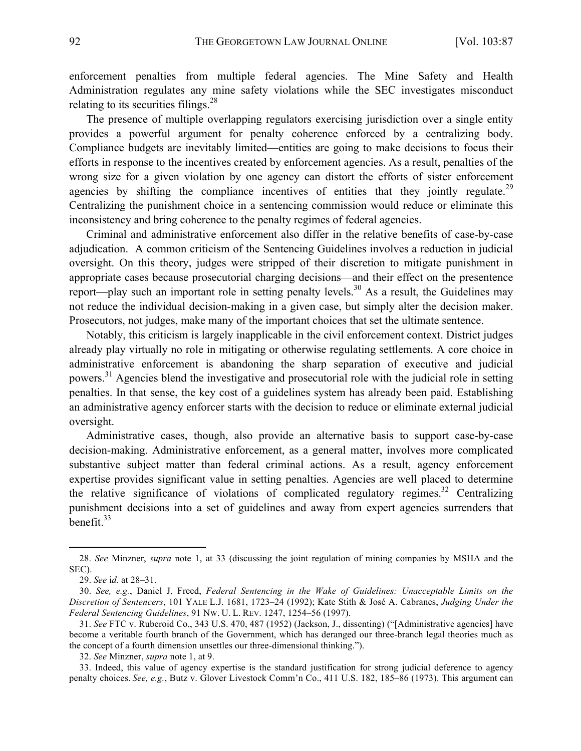enforcement penalties from multiple federal agencies. The Mine Safety and Health Administration regulates any mine safety violations while the SEC investigates misconduct relating to its securities filings. $28$ 

The presence of multiple overlapping regulators exercising jurisdiction over a single entity provides a powerful argument for penalty coherence enforced by a centralizing body. Compliance budgets are inevitably limited—entities are going to make decisions to focus their efforts in response to the incentives created by enforcement agencies. As a result, penalties of the wrong size for a given violation by one agency can distort the efforts of sister enforcement agencies by shifting the compliance incentives of entities that they jointly regulate.<sup>29</sup> Centralizing the punishment choice in a sentencing commission would reduce or eliminate this inconsistency and bring coherence to the penalty regimes of federal agencies.

Criminal and administrative enforcement also differ in the relative benefits of case-by-case adjudication. A common criticism of the Sentencing Guidelines involves a reduction in judicial oversight. On this theory, judges were stripped of their discretion to mitigate punishment in appropriate cases because prosecutorial charging decisions—and their effect on the presentence report—play such an important role in setting penalty levels.<sup>30</sup> As a result, the Guidelines may not reduce the individual decision-making in a given case, but simply alter the decision maker. Prosecutors, not judges, make many of the important choices that set the ultimate sentence.

Notably, this criticism is largely inapplicable in the civil enforcement context. District judges already play virtually no role in mitigating or otherwise regulating settlements. A core choice in administrative enforcement is abandoning the sharp separation of executive and judicial powers.<sup>31</sup> Agencies blend the investigative and prosecutorial role with the judicial role in setting penalties. In that sense, the key cost of a guidelines system has already been paid. Establishing an administrative agency enforcer starts with the decision to reduce or eliminate external judicial oversight.

Administrative cases, though, also provide an alternative basis to support case-by-case decision-making. Administrative enforcement, as a general matter, involves more complicated substantive subject matter than federal criminal actions. As a result, agency enforcement expertise provides significant value in setting penalties. Agencies are well placed to determine the relative significance of violations of complicated regulatory regimes.<sup>32</sup> Centralizing punishment decisions into a set of guidelines and away from expert agencies surrenders that benefit.<sup>33</sup>

 

32. *See* Minzner, *supra* note 1, at 9.

33. Indeed, this value of agency expertise is the standard justification for strong judicial deference to agency penalty choices. *See, e.g.*, Butz v. Glover Livestock Comm'n Co., 411 U.S. 182, 185–86 (1973). This argument can

<sup>28.</sup> *See* Minzner, *supra* note 1, at 33 (discussing the joint regulation of mining companies by MSHA and the SEC).

<sup>29.</sup> *See* i*d.* at 28–31.

<sup>30.</sup> *See, e.g.*, Daniel J. Freed, *Federal Sentencing in the Wake of Guidelines: Unacceptable Limits on the Discretion of Sentencers*, 101 YALE L.J. 1681, 1723–24 (1992); Kate Stith & José A. Cabranes, *Judging Under the Federal Sentencing Guidelines*, 91 NW. U. L. REV. 1247, 1254–56 (1997).

<sup>31.</sup> *See* FTC v. Ruberoid Co., 343 U.S. 470, 487 (1952) (Jackson, J., dissenting) ("[Administrative agencies] have become a veritable fourth branch of the Government, which has deranged our three-branch legal theories much as the concept of a fourth dimension unsettles our three-dimensional thinking.").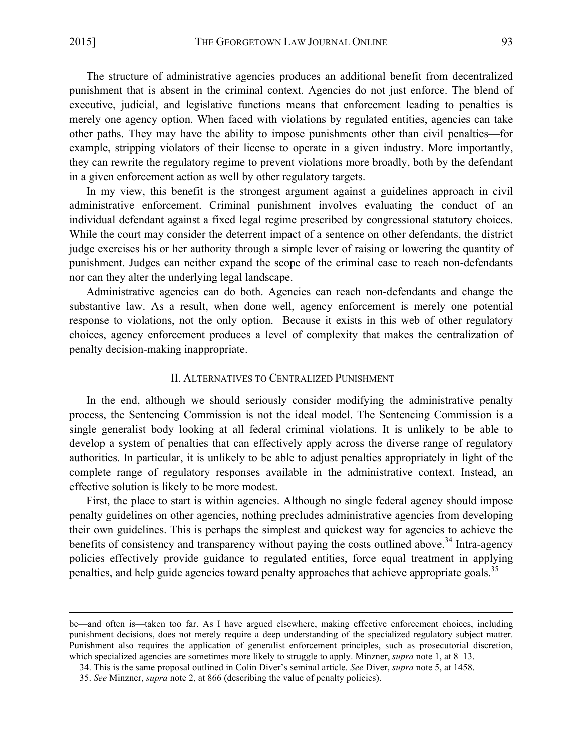The structure of administrative agencies produces an additional benefit from decentralized punishment that is absent in the criminal context. Agencies do not just enforce. The blend of executive, judicial, and legislative functions means that enforcement leading to penalties is merely one agency option. When faced with violations by regulated entities, agencies can take other paths. They may have the ability to impose punishments other than civil penalties—for example, stripping violators of their license to operate in a given industry. More importantly, they can rewrite the regulatory regime to prevent violations more broadly, both by the defendant in a given enforcement action as well by other regulatory targets.

In my view, this benefit is the strongest argument against a guidelines approach in civil administrative enforcement. Criminal punishment involves evaluating the conduct of an individual defendant against a fixed legal regime prescribed by congressional statutory choices. While the court may consider the deterrent impact of a sentence on other defendants, the district judge exercises his or her authority through a simple lever of raising or lowering the quantity of punishment. Judges can neither expand the scope of the criminal case to reach non-defendants nor can they alter the underlying legal landscape.

Administrative agencies can do both. Agencies can reach non-defendants and change the substantive law. As a result, when done well, agency enforcement is merely one potential response to violations, not the only option. Because it exists in this web of other regulatory choices, agency enforcement produces a level of complexity that makes the centralization of penalty decision-making inappropriate.

# II. ALTERNATIVES TO CENTRALIZED PUNISHMENT

In the end, although we should seriously consider modifying the administrative penalty process, the Sentencing Commission is not the ideal model. The Sentencing Commission is a single generalist body looking at all federal criminal violations. It is unlikely to be able to develop a system of penalties that can effectively apply across the diverse range of regulatory authorities. In particular, it is unlikely to be able to adjust penalties appropriately in light of the complete range of regulatory responses available in the administrative context. Instead, an effective solution is likely to be more modest.

First, the place to start is within agencies. Although no single federal agency should impose penalty guidelines on other agencies, nothing precludes administrative agencies from developing their own guidelines. This is perhaps the simplest and quickest way for agencies to achieve the benefits of consistency and transparency without paying the costs outlined above.<sup>34</sup> Intra-agency policies effectively provide guidance to regulated entities, force equal treatment in applying penalties, and help guide agencies toward penalty approaches that achieve appropriate goals.<sup>35</sup>

<u> 1989 - Andrea San Andrew Maria (h. 1989).</u><br>1900 - Johann British, fransk politik (h. 1980).

be—and often is—taken too far. As I have argued elsewhere, making effective enforcement choices, including punishment decisions, does not merely require a deep understanding of the specialized regulatory subject matter. Punishment also requires the application of generalist enforcement principles, such as prosecutorial discretion, which specialized agencies are sometimes more likely to struggle to apply. Minzner, *supra* note 1, at 8–13.

<sup>34.</sup> This is the same proposal outlined in Colin Diver's seminal article. *See* Diver, *supra* note 5, at 1458.

<sup>35.</sup> *See* Minzner, *supra* note 2, at 866 (describing the value of penalty policies).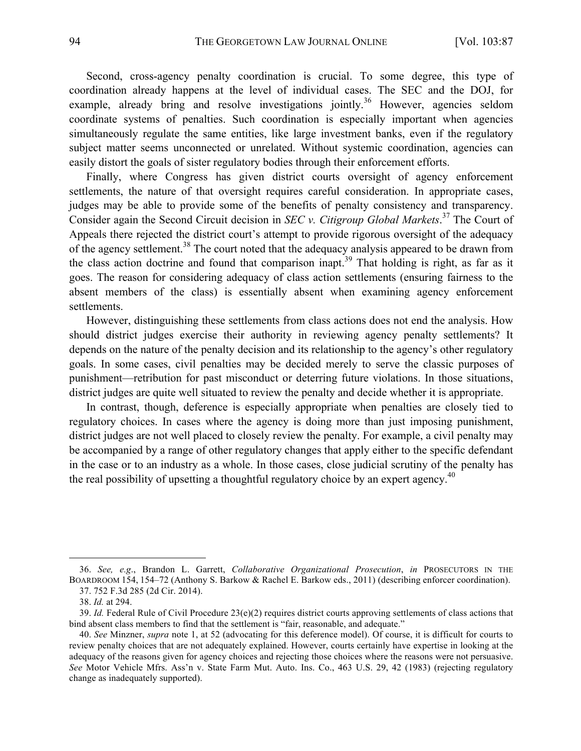Second, cross-agency penalty coordination is crucial. To some degree, this type of coordination already happens at the level of individual cases. The SEC and the DOJ, for example, already bring and resolve investigations jointly.<sup>36</sup> However, agencies seldom coordinate systems of penalties. Such coordination is especially important when agencies simultaneously regulate the same entities, like large investment banks, even if the regulatory subject matter seems unconnected or unrelated. Without systemic coordination, agencies can easily distort the goals of sister regulatory bodies through their enforcement efforts.

Finally, where Congress has given district courts oversight of agency enforcement settlements, the nature of that oversight requires careful consideration. In appropriate cases, judges may be able to provide some of the benefits of penalty consistency and transparency. Consider again the Second Circuit decision in *SEC v. Citigroup Global Markets*. <sup>37</sup> The Court of Appeals there rejected the district court's attempt to provide rigorous oversight of the adequacy of the agency settlement.<sup>38</sup> The court noted that the adequacy analysis appeared to be drawn from the class action doctrine and found that comparison inapt.<sup>39</sup> That holding is right, as far as it goes. The reason for considering adequacy of class action settlements (ensuring fairness to the absent members of the class) is essentially absent when examining agency enforcement settlements.

However, distinguishing these settlements from class actions does not end the analysis. How should district judges exercise their authority in reviewing agency penalty settlements? It depends on the nature of the penalty decision and its relationship to the agency's other regulatory goals. In some cases, civil penalties may be decided merely to serve the classic purposes of punishment—retribution for past misconduct or deterring future violations. In those situations, district judges are quite well situated to review the penalty and decide whether it is appropriate.

In contrast, though, deference is especially appropriate when penalties are closely tied to regulatory choices. In cases where the agency is doing more than just imposing punishment, district judges are not well placed to closely review the penalty. For example, a civil penalty may be accompanied by a range of other regulatory changes that apply either to the specific defendant in the case or to an industry as a whole. In those cases, close judicial scrutiny of the penalty has the real possibility of upsetting a thoughtful regulatory choice by an expert agency. $40$ 

 

<sup>36.</sup> *See, e.g*., Brandon L. Garrett, *Collaborative Organizational Prosecution*, *in* PROSECUTORS IN THE BOARDROOM 154, 154–72 (Anthony S. Barkow & Rachel E. Barkow eds., 2011) (describing enforcer coordination). 37. 752 F.3d 285 (2d Cir. 2014).

<sup>38.</sup> *Id.* at 294.

<sup>39.</sup> *Id.* Federal Rule of Civil Procedure 23(e)(2) requires district courts approving settlements of class actions that bind absent class members to find that the settlement is "fair, reasonable, and adequate."

<sup>40.</sup> *See* Minzner, *supra* note 1, at 52 (advocating for this deference model). Of course, it is difficult for courts to review penalty choices that are not adequately explained. However, courts certainly have expertise in looking at the adequacy of the reasons given for agency choices and rejecting those choices where the reasons were not persuasive. *See* Motor Vehicle Mfrs. Ass'n v. State Farm Mut. Auto. Ins. Co., 463 U.S. 29, 42 (1983) (rejecting regulatory change as inadequately supported).